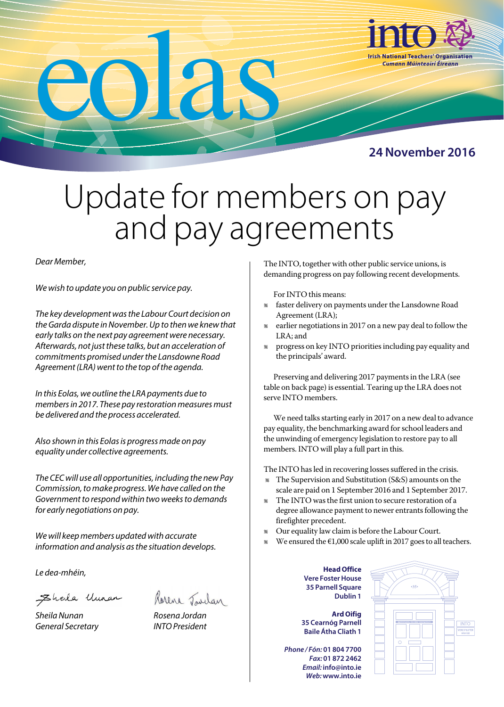

## Update for members on pay and pay agreements

## *Dear Member,*

*We wish to update you on public service pay.*

*The key development was the Labour Court decision on the Garda dispute in November. Up to then we knew that early talks on the next pay agreement were necessary. Afterwards, not just these talks, but an acceleration of commitments promised under the Lansdowne Road Agreement (LRA) went to the top of the agenda.*

*In this Eolas, we outline the LRA payments due to members in 2017. These pay restoration measures must be delivered and the process accelerated.* 

*Also shown in this Eolas is progress made on pay equality under collective agreements.*

*The CEC will use all opportunities, including the new Pay Commission, to make progress. We have called on the Government to respond within two weeks to demands for early negotiations on pay.* 

*We will keep members updated with accurate information and analysis as the situation develops.*

*Le dea-mhéin,*

Eheila Uman

*Sheila Nunan Rosena Jordan General Secretary INTO President*



The INTO, together with other public service unions, is demanding progress on pay following recent developments.

For INTO this means:

- l faster delivery on payments under the Lansdowne Road Agreement (LRA);
- l earlier negotiations in 2017 on a new pay deal to follow the LRA; and
- l progress on key INTO priorities including pay equality and the principals' award.

Preserving and delivering 2017 payments in the LRA (see table on back page) is essential. Tearing up the LRA does not serve INTO members.

We need talks starting early in 2017 on a new deal to advance pay equality, the benchmarking award for school leaders and the unwinding of emergency legislation to restore pay to all members. INTO will play a full part in this.

The INTO has led in recovering losses suffered in the crisis.

- l The Supervision and Substitution (S&S) amounts on the scale are paid on 1 September 2016 and 1 September 2017.
- l The INTO was the first union to secure restoration of a degree allowance payment to newer entrants following the firefighter precedent.
- l Our equality law claim is before the Labour Court.
- We ensured the  $\epsilon$ 1,000 scale uplift in 2017 goes to all teachers.
	- **Head Office Vere Foster House 35 Parnell Square Dublin 1**

**Ard Oifig 35 Cearnóg Parnell Baile Átha Cliath 1**

*Phone / Fón:* **01 804 7700** *Fax:* **01 872 2462**  *Email:* **info@into.ie** *Web:* **www.into.ie**